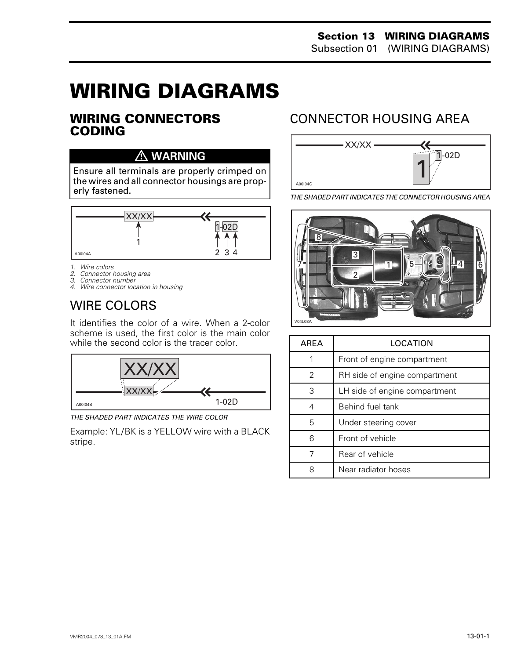# **WIRING DIAGRAMS 0**

#### **WIRING CONNECTORS CODING**

#### **WARNING**

Ensure all terminals are properly crimped on the wires and all connector housings are properly fastened.



- *1. Wire colors*
- *2. Connector housing area*
- *3. Connector number*
- *4. Wire connector location in housing*

#### WIRE COLORS

It identifies the color of a wire. When a 2-color scheme is used, the first color is the main color while the second color is the tracer color.



*THE SHADED PART INDICATES THE WIRE COLOR*

Example: YL/BK is a YELLOW wire with a BLACK stripe.

#### CONNECTOR HOUSING AREA



*THE SHADED PART INDICATES THE CONNECTOR HOUSING AREA*



| <b>AREA</b> | LOCATION                      |
|-------------|-------------------------------|
|             | Front of engine compartment   |
| 2           | RH side of engine compartment |
| 3           | LH side of engine compartment |
| 4           | Behind fuel tank              |
| 5           | Under steering cover          |
| հ           | Front of vehicle              |
|             | Rear of vehicle               |
|             | Near radiator hoses           |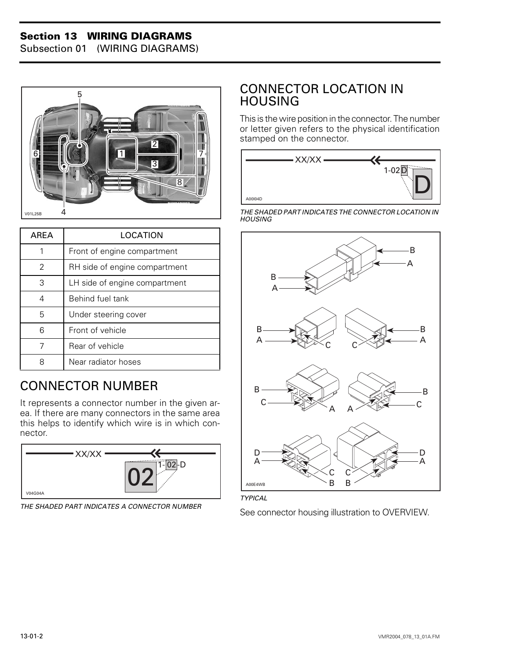#### **Section 13 WIRING DIAGRAMS**

Subsection 01 (WIRING DIAGRAMS)



| AREA | LOCATION                      |
|------|-------------------------------|
|      | Front of engine compartment   |
| 2    | RH side of engine compartment |
| 3    | LH side of engine compartment |
| 4    | Behind fuel tank              |
| 5    | Under steering cover          |
| 6    | Front of vehicle              |
| 7    | Rear of vehicle               |
|      | Near radiator hoses           |

#### CONNECTOR NUMBER

It represents a connector number in the given area. If there are many connectors in the same area this helps to identify which wire is in which connector.



*THE SHADED PART INDICATES A CONNECTOR NUMBER*

#### CONNECTOR LOCATION IN HOUSING

This is the wire position in the connector. The number or letter given refers to the physical identification stamped on the connector.



*THE SHADED PART INDICATES THE CONNECTOR LOCATION IN HOUSING*





See connector housing illustration to OVERVIEW.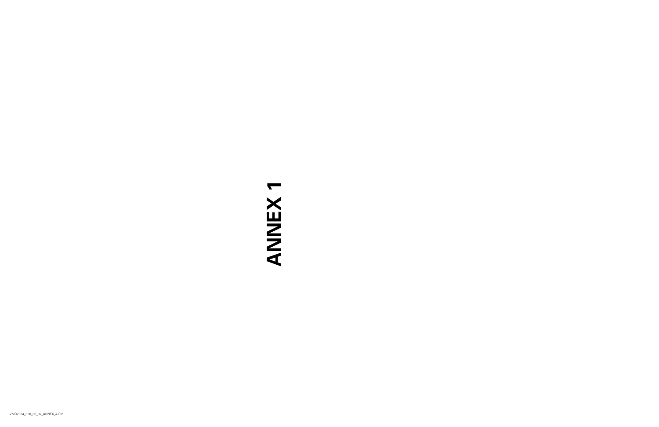# $\blacktriangledown$ **ANNEX 1**ANNEX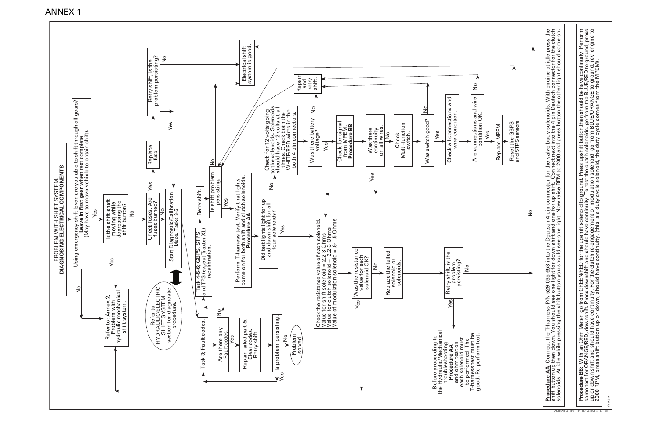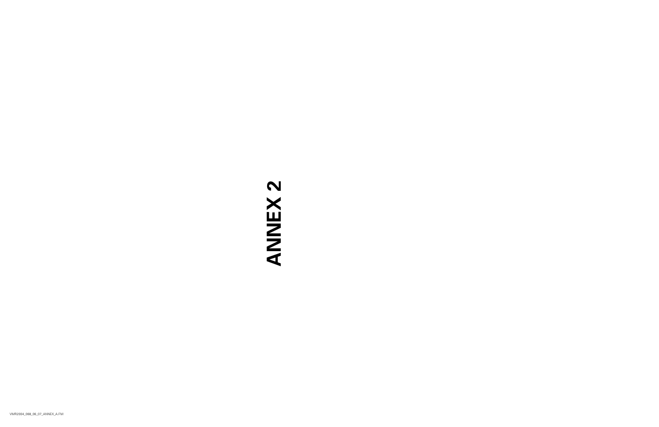# **ANNEX2 ANNEX 2**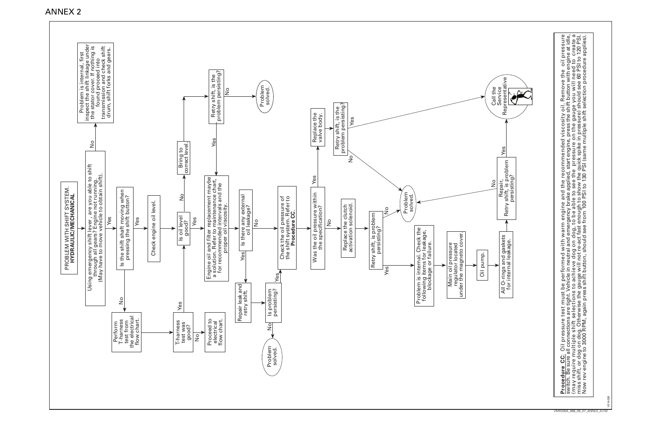

#### **ANNEX 2**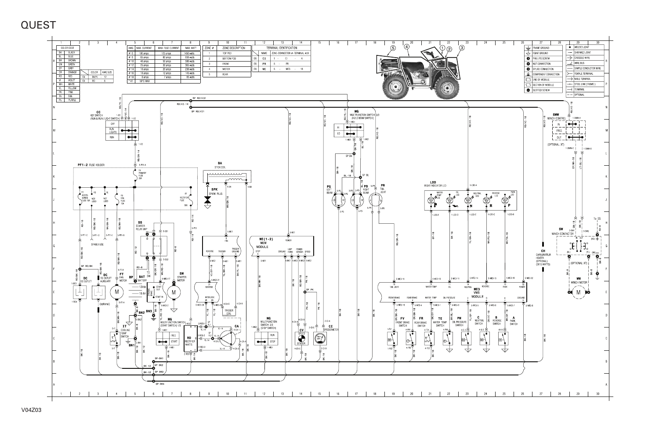

# **QUEST**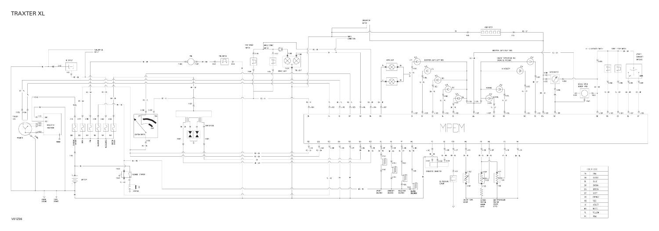

| COLOR CODE |              |  |  |
|------------|--------------|--|--|
| TA         | <b>TAN</b>   |  |  |
| BK         | <b>BLACK</b> |  |  |
| BL         | <b>BLUE</b>  |  |  |
| BR         | <b>BROWN</b> |  |  |
| GΝ         | GREEN        |  |  |
| GY         | GREY         |  |  |
| ΠR         | ORANGE       |  |  |
| RN         | RED          |  |  |
| VI         | VIOLET       |  |  |
| WН         | WHITE        |  |  |
| YL.        | YELLOW       |  |  |
| PK         | PINK         |  |  |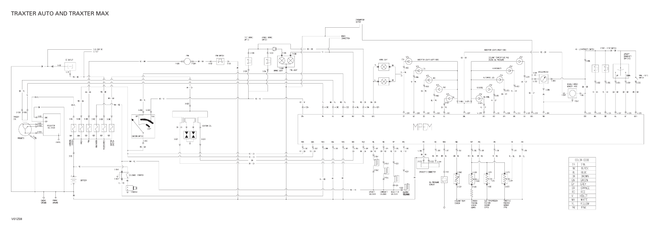| COLOR CODE |             |  |  |
|------------|-------------|--|--|
| TA         | TAN         |  |  |
| ΒK         | RI ACK      |  |  |
| BL.        | BLUE        |  |  |
| BR         | BROWN       |  |  |
| GN         | GREEN       |  |  |
| GY         | GREY        |  |  |
| ΠR         | ORANGE.     |  |  |
| RN         | REN         |  |  |
| VI         | VIOLET      |  |  |
| WH         | WHITE       |  |  |
| YL         | YELLOW      |  |  |
| РK         | <b>PINK</b> |  |  |

## TRAXTER AUTO AND TRAXTER MAX